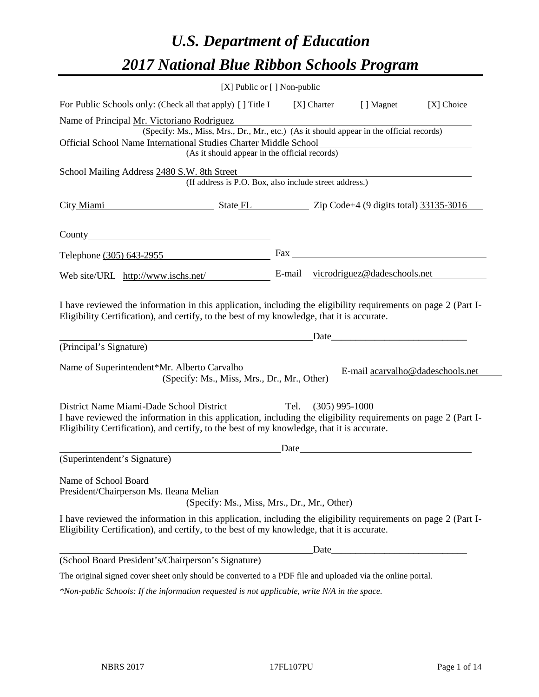# *U.S. Department of Education 2017 National Blue Ribbon Schools Program*

|                                                                        | $[X]$ Public or $[ ]$ Non-public                                                                                                                                                                             |                                                            |               |                                  |            |
|------------------------------------------------------------------------|--------------------------------------------------------------------------------------------------------------------------------------------------------------------------------------------------------------|------------------------------------------------------------|---------------|----------------------------------|------------|
|                                                                        | For Public Schools only: (Check all that apply) [] Title I                                                                                                                                                   |                                                            | $[X]$ Charter | [ ] Magnet                       | [X] Choice |
| Name of Principal Mr. Victoriano Rodriguez                             |                                                                                                                                                                                                              |                                                            |               |                                  |            |
|                                                                        | (Specify: Ms., Miss, Mrs., Dr., Mr., etc.) (As it should appear in the official records)                                                                                                                     |                                                            |               |                                  |            |
|                                                                        | Official School Name International Studies Charter Middle School<br>(As it should appear in the official records)                                                                                            |                                                            |               |                                  |            |
|                                                                        |                                                                                                                                                                                                              |                                                            |               |                                  |            |
| School Mailing Address 2480 S.W. 8th Street                            | (If address is P.O. Box, also include street address.)                                                                                                                                                       |                                                            |               |                                  |            |
|                                                                        |                                                                                                                                                                                                              | City Miami State FL Zip Code+4 (9 digits total) 33135-3016 |               |                                  |            |
|                                                                        |                                                                                                                                                                                                              |                                                            |               |                                  |            |
| Telephone (305) 643-2955                                               |                                                                                                                                                                                                              |                                                            |               |                                  |            |
|                                                                        | Web site/URL http://www.ischs.net/ E-mail vicrodriguez@dadeschools.net                                                                                                                                       |                                                            |               |                                  |            |
| (Principal's Signature)<br>Name of Superintendent*Mr. Alberto Carvalho |                                                                                                                                                                                                              |                                                            |               |                                  |            |
|                                                                        | (Specify: Ms., Miss, Mrs., Dr., Mr., Other)                                                                                                                                                                  |                                                            |               | E-mail acarvalho@dadeschools.net |            |
|                                                                        | District Name Miami-Dade School District Tel. (305) 995-1000                                                                                                                                                 |                                                            |               |                                  |            |
|                                                                        | I have reviewed the information in this application, including the eligibility requirements on page 2 (Part I-<br>Eligibility Certification), and certify, to the best of my knowledge, that it is accurate. |                                                            |               |                                  |            |
|                                                                        |                                                                                                                                                                                                              |                                                            |               |                                  |            |
| (Superintendent's Signature)                                           |                                                                                                                                                                                                              |                                                            |               |                                  |            |
| Name of School Board                                                   |                                                                                                                                                                                                              |                                                            |               |                                  |            |
| President/Chairperson Ms. Ileana Melian                                | (Specify: Ms., Miss, Mrs., Dr., Mr., Other)                                                                                                                                                                  |                                                            |               |                                  |            |
|                                                                        | I have reviewed the information in this application, including the eligibility requirements on page 2 (Part I-<br>Eligibility Certification), and certify, to the best of my knowledge, that it is accurate. |                                                            |               |                                  |            |
|                                                                        |                                                                                                                                                                                                              |                                                            |               |                                  |            |
| (School Board President's/Chairperson's Signature)                     |                                                                                                                                                                                                              |                                                            |               |                                  |            |
|                                                                        | The original signed cover sheet only should be converted to a PDF file and uploaded via the online portal.                                                                                                   |                                                            |               |                                  |            |
|                                                                        | *Non-public Schools: If the information requested is not applicable, write N/A in the space.                                                                                                                 |                                                            |               |                                  |            |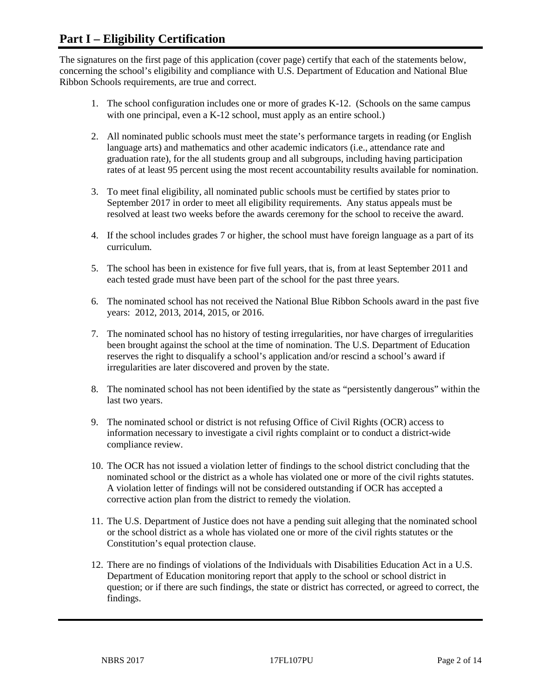## **Part I – Eligibility Certification**

The signatures on the first page of this application (cover page) certify that each of the statements below, concerning the school's eligibility and compliance with U.S. Department of Education and National Blue Ribbon Schools requirements, are true and correct.

- 1. The school configuration includes one or more of grades K-12. (Schools on the same campus with one principal, even a K-12 school, must apply as an entire school.)
- 2. All nominated public schools must meet the state's performance targets in reading (or English language arts) and mathematics and other academic indicators (i.e., attendance rate and graduation rate), for the all students group and all subgroups, including having participation rates of at least 95 percent using the most recent accountability results available for nomination.
- 3. To meet final eligibility, all nominated public schools must be certified by states prior to September 2017 in order to meet all eligibility requirements. Any status appeals must be resolved at least two weeks before the awards ceremony for the school to receive the award.
- 4. If the school includes grades 7 or higher, the school must have foreign language as a part of its curriculum.
- 5. The school has been in existence for five full years, that is, from at least September 2011 and each tested grade must have been part of the school for the past three years.
- 6. The nominated school has not received the National Blue Ribbon Schools award in the past five years: 2012, 2013, 2014, 2015, or 2016.
- 7. The nominated school has no history of testing irregularities, nor have charges of irregularities been brought against the school at the time of nomination. The U.S. Department of Education reserves the right to disqualify a school's application and/or rescind a school's award if irregularities are later discovered and proven by the state.
- 8. The nominated school has not been identified by the state as "persistently dangerous" within the last two years.
- 9. The nominated school or district is not refusing Office of Civil Rights (OCR) access to information necessary to investigate a civil rights complaint or to conduct a district-wide compliance review.
- 10. The OCR has not issued a violation letter of findings to the school district concluding that the nominated school or the district as a whole has violated one or more of the civil rights statutes. A violation letter of findings will not be considered outstanding if OCR has accepted a corrective action plan from the district to remedy the violation.
- 11. The U.S. Department of Justice does not have a pending suit alleging that the nominated school or the school district as a whole has violated one or more of the civil rights statutes or the Constitution's equal protection clause.
- 12. There are no findings of violations of the Individuals with Disabilities Education Act in a U.S. Department of Education monitoring report that apply to the school or school district in question; or if there are such findings, the state or district has corrected, or agreed to correct, the findings.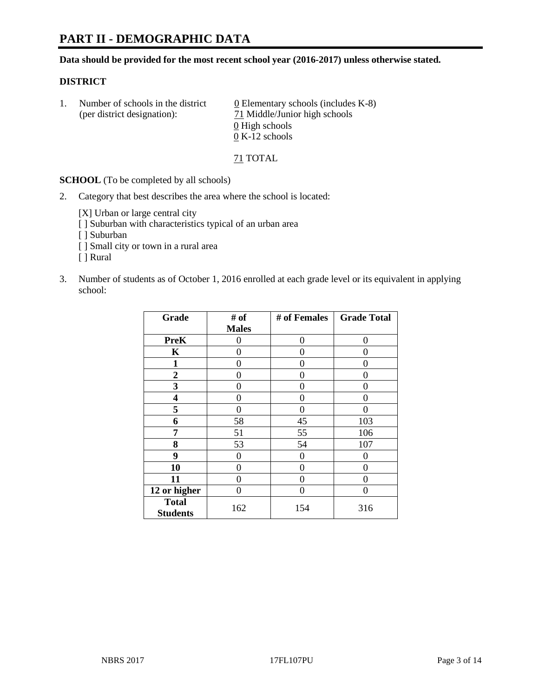# **PART II - DEMOGRAPHIC DATA**

**Data should be provided for the most recent school year (2016-2017) unless otherwise stated.** 

#### **DISTRICT**

| Number of schools in the district<br>(per district designation): | $\underline{0}$ Elementary schools (includes K-8)<br>71 Middle/Junior high schools |  |
|------------------------------------------------------------------|------------------------------------------------------------------------------------|--|
|                                                                  | 0 High schools                                                                     |  |
|                                                                  | $0 K-12$ schools                                                                   |  |

71 TOTAL

**SCHOOL** (To be completed by all schools)

2. Category that best describes the area where the school is located:

[X] Urban or large central city

- [ ] Suburban with characteristics typical of an urban area
- [ ] Suburban
- [ ] Small city or town in a rural area
- [ ] Rural
- 3. Number of students as of October 1, 2016 enrolled at each grade level or its equivalent in applying school:

| Grade                           | # of         | # of Females | <b>Grade Total</b> |
|---------------------------------|--------------|--------------|--------------------|
|                                 | <b>Males</b> |              |                    |
| <b>PreK</b>                     | 0            | 0            | 0                  |
| K                               | 0            | 0            | 0                  |
| 1                               | 0            | 0            | 0                  |
| $\boldsymbol{2}$                | 0            | 0            | 0                  |
| 3                               | 0            | 0            | 0                  |
| 4                               | 0            | 0            | 0                  |
| 5                               | 0            | 0            | 0                  |
| 6                               | 58           | 45           | 103                |
| 7                               | 51           | 55           | 106                |
| 8                               | 53           | 54           | 107                |
| 9                               | 0            | 0            | 0                  |
| 10                              | $\theta$     | 0            | 0                  |
| 11                              | 0            | 0            | 0                  |
| 12 or higher                    | 0            | 0            | 0                  |
| <b>Total</b><br><b>Students</b> | 162          | 154          | 316                |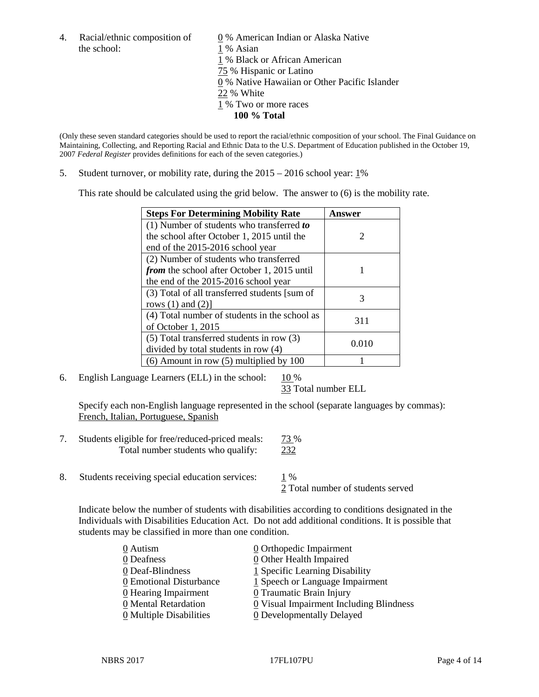the school: 1 % Asian

4. Racial/ethnic composition of  $\qquad \qquad \underline{0}$  % American Indian or Alaska Native 1 % Black or African American 75 % Hispanic or Latino 0 % Native Hawaiian or Other Pacific Islander 22 % White 1 % Two or more races **100 % Total**

(Only these seven standard categories should be used to report the racial/ethnic composition of your school. The Final Guidance on Maintaining, Collecting, and Reporting Racial and Ethnic Data to the U.S. Department of Education published in the October 19, 2007 *Federal Register* provides definitions for each of the seven categories.)

5. Student turnover, or mobility rate, during the 2015 – 2016 school year: 1%

This rate should be calculated using the grid below. The answer to (6) is the mobility rate.

| <b>Steps For Determining Mobility Rate</b>         | Answer        |
|----------------------------------------------------|---------------|
| $(1)$ Number of students who transferred to        |               |
| the school after October 1, 2015 until the         | $\mathcal{D}$ |
| end of the 2015-2016 school year                   |               |
| (2) Number of students who transferred             |               |
| <i>from</i> the school after October 1, 2015 until |               |
| the end of the 2015-2016 school year               |               |
| (3) Total of all transferred students [sum of      | 3             |
| rows $(1)$ and $(2)$ ]                             |               |
| (4) Total number of students in the school as      | 311           |
| of October $1, 2015$                               |               |
| $(5)$ Total transferred students in row $(3)$      | 0.010         |
| divided by total students in row (4)               |               |
| $(6)$ Amount in row $(5)$ multiplied by 100        |               |

6. English Language Learners (ELL) in the school:  $10\%$ 

33 Total number ELL

Specify each non-English language represented in the school (separate languages by commas): French, Italian, Portuguese, Spanish

- 7. Students eligible for free/reduced-priced meals: 73 % Total number students who qualify: 232
- 8. Students receiving special education services: 1 %

2 Total number of students served

Indicate below the number of students with disabilities according to conditions designated in the Individuals with Disabilities Education Act. Do not add additional conditions. It is possible that students may be classified in more than one condition.

| 0 Autism                              | $\underline{0}$ Orthopedic Impairment   |
|---------------------------------------|-----------------------------------------|
| 0 Deafness                            | 0 Other Health Impaired                 |
| 0 Deaf-Blindness                      | 1 Specific Learning Disability          |
| 0 Emotional Disturbance               | $1$ Speech or Language Impairment       |
| 0 Hearing Impairment                  | 0 Traumatic Brain Injury                |
| 0 Mental Retardation                  | 0 Visual Impairment Including Blindness |
| $\underline{0}$ Multiple Disabilities | <b>0</b> Developmentally Delayed        |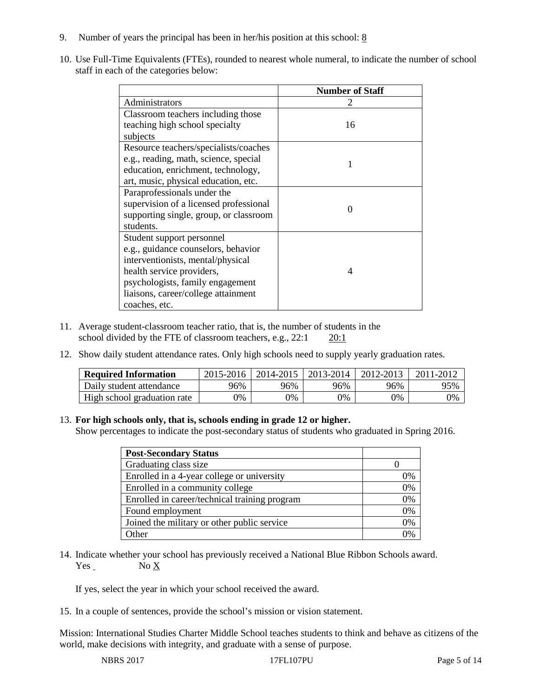- 9. Number of years the principal has been in her/his position at this school:  $8$
- 10. Use Full-Time Equivalents (FTEs), rounded to nearest whole numeral, to indicate the number of school staff in each of the categories below:

|                                        | <b>Number of Staff</b> |  |
|----------------------------------------|------------------------|--|
| Administrators                         |                        |  |
| Classroom teachers including those     |                        |  |
| teaching high school specialty         | 16                     |  |
| subjects                               |                        |  |
| Resource teachers/specialists/coaches  |                        |  |
| e.g., reading, math, science, special  |                        |  |
| education, enrichment, technology,     |                        |  |
| art, music, physical education, etc.   |                        |  |
| Paraprofessionals under the            |                        |  |
| supervision of a licensed professional | $\Omega$               |  |
| supporting single, group, or classroom |                        |  |
| students.                              |                        |  |
| Student support personnel              |                        |  |
| e.g., guidance counselors, behavior    |                        |  |
| interventionists, mental/physical      |                        |  |
| health service providers,              | 4                      |  |
| psychologists, family engagement       |                        |  |
| liaisons, career/college attainment    |                        |  |
| coaches, etc.                          |                        |  |

- 11. Average student-classroom teacher ratio, that is, the number of students in the school divided by the FTE of classroom teachers, e.g., 22:1 20:1
- 12. Show daily student attendance rates. Only high schools need to supply yearly graduation rates.

| <b>Required Information</b> | 2015-2016 | 2014-2015 | 2013-2014 | 2012-2013 |     |
|-----------------------------|-----------|-----------|-----------|-----------|-----|
| Daily student attendance    | 96%       | 96%       | 96%       | 96%       | 95% |
| High school graduation rate | 0%        | 0%        | 0%        | 9%        | 0%  |

#### 13. **For high schools only, that is, schools ending in grade 12 or higher.**

Show percentages to indicate the post-secondary status of students who graduated in Spring 2016.

| <b>Post-Secondary Status</b>                  |    |
|-----------------------------------------------|----|
| Graduating class size                         |    |
| Enrolled in a 4-year college or university    | 0% |
| Enrolled in a community college               | 0% |
| Enrolled in career/technical training program | 0% |
| Found employment                              | 0% |
| Joined the military or other public service   | 0% |
| .)ther                                        |    |

14. Indicate whether your school has previously received a National Blue Ribbon Schools award. Yes No X

If yes, select the year in which your school received the award.

15. In a couple of sentences, provide the school's mission or vision statement.

Mission: International Studies Charter Middle School teaches students to think and behave as citizens of the world, make decisions with integrity, and graduate with a sense of purpose.

NBRS 2017 17FL107PU Page 5 of 14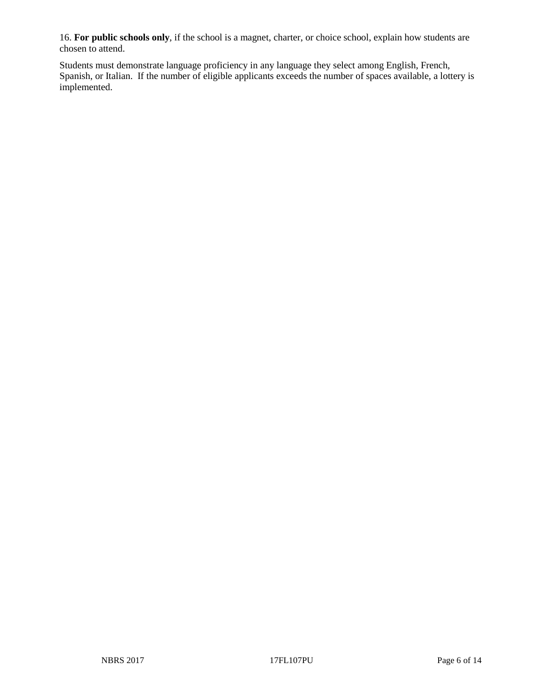16. **For public schools only**, if the school is a magnet, charter, or choice school, explain how students are chosen to attend.

Students must demonstrate language proficiency in any language they select among English, French, Spanish, or Italian. If the number of eligible applicants exceeds the number of spaces available, a lottery is implemented.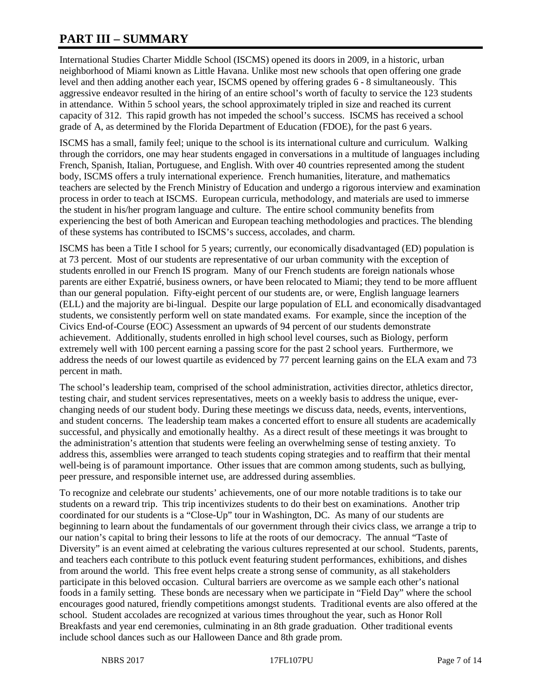# **PART III – SUMMARY**

International Studies Charter Middle School (ISCMS) opened its doors in 2009, in a historic, urban neighborhood of Miami known as Little Havana. Unlike most new schools that open offering one grade level and then adding another each year, ISCMS opened by offering grades 6 - 8 simultaneously. This aggressive endeavor resulted in the hiring of an entire school's worth of faculty to service the 123 students in attendance. Within 5 school years, the school approximately tripled in size and reached its current capacity of 312. This rapid growth has not impeded the school's success. ISCMS has received a school grade of A, as determined by the Florida Department of Education (FDOE), for the past 6 years.

ISCMS has a small, family feel; unique to the school is its international culture and curriculum. Walking through the corridors, one may hear students engaged in conversations in a multitude of languages including French, Spanish, Italian, Portuguese, and English. With over 40 countries represented among the student body, ISCMS offers a truly international experience. French humanities, literature, and mathematics teachers are selected by the French Ministry of Education and undergo a rigorous interview and examination process in order to teach at ISCMS. European curricula, methodology, and materials are used to immerse the student in his/her program language and culture. The entire school community benefits from experiencing the best of both American and European teaching methodologies and practices. The blending of these systems has contributed to ISCMS's success, accolades, and charm.

ISCMS has been a Title I school for 5 years; currently, our economically disadvantaged (ED) population is at 73 percent. Most of our students are representative of our urban community with the exception of students enrolled in our French IS program. Many of our French students are foreign nationals whose parents are either Expatrié, business owners, or have been relocated to Miami; they tend to be more affluent than our general population. Fifty-eight percent of our students are, or were, English language learners (ELL) and the majority are bi-lingual. Despite our large population of ELL and economically disadvantaged students, we consistently perform well on state mandated exams. For example, since the inception of the Civics End-of-Course (EOC) Assessment an upwards of 94 percent of our students demonstrate achievement. Additionally, students enrolled in high school level courses, such as Biology, perform extremely well with 100 percent earning a passing score for the past 2 school years. Furthermore, we address the needs of our lowest quartile as evidenced by 77 percent learning gains on the ELA exam and 73 percent in math.

The school's leadership team, comprised of the school administration, activities director, athletics director, testing chair, and student services representatives, meets on a weekly basis to address the unique, everchanging needs of our student body. During these meetings we discuss data, needs, events, interventions, and student concerns. The leadership team makes a concerted effort to ensure all students are academically successful, and physically and emotionally healthy. As a direct result of these meetings it was brought to the administration's attention that students were feeling an overwhelming sense of testing anxiety. To address this, assemblies were arranged to teach students coping strategies and to reaffirm that their mental well-being is of paramount importance. Other issues that are common among students, such as bullying, peer pressure, and responsible internet use, are addressed during assemblies.

To recognize and celebrate our students' achievements, one of our more notable traditions is to take our students on a reward trip. This trip incentivizes students to do their best on examinations. Another trip coordinated for our students is a "Close-Up" tour in Washington, DC. As many of our students are beginning to learn about the fundamentals of our government through their civics class, we arrange a trip to our nation's capital to bring their lessons to life at the roots of our democracy. The annual "Taste of Diversity" is an event aimed at celebrating the various cultures represented at our school. Students, parents, and teachers each contribute to this potluck event featuring student performances, exhibitions, and dishes from around the world. This free event helps create a strong sense of community, as all stakeholders participate in this beloved occasion. Cultural barriers are overcome as we sample each other's national foods in a family setting. These bonds are necessary when we participate in "Field Day" where the school encourages good natured, friendly competitions amongst students. Traditional events are also offered at the school. Student accolades are recognized at various times throughout the year, such as Honor Roll Breakfasts and year end ceremonies, culminating in an 8th grade graduation. Other traditional events include school dances such as our Halloween Dance and 8th grade prom.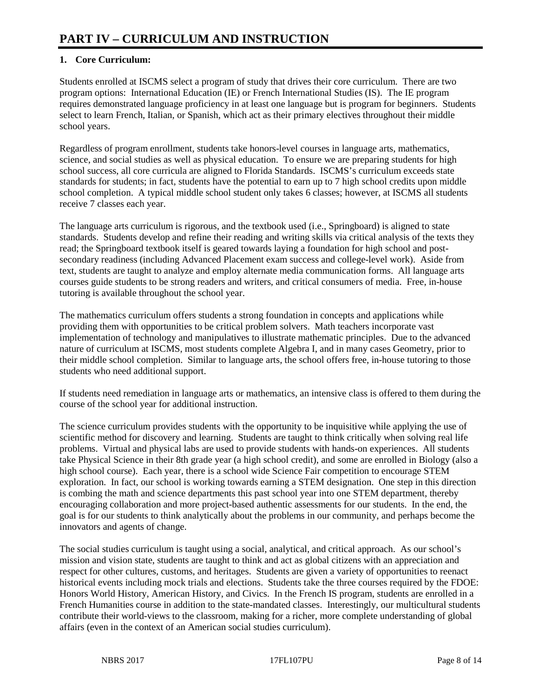### **1. Core Curriculum:**

Students enrolled at ISCMS select a program of study that drives their core curriculum. There are two program options: International Education (IE) or French International Studies (IS). The IE program requires demonstrated language proficiency in at least one language but is program for beginners. Students select to learn French, Italian, or Spanish, which act as their primary electives throughout their middle school years.

Regardless of program enrollment, students take honors-level courses in language arts, mathematics, science, and social studies as well as physical education. To ensure we are preparing students for high school success, all core curricula are aligned to Florida Standards. ISCMS's curriculum exceeds state standards for students; in fact, students have the potential to earn up to 7 high school credits upon middle school completion. A typical middle school student only takes 6 classes; however, at ISCMS all students receive 7 classes each year.

The language arts curriculum is rigorous, and the textbook used (i.e., Springboard) is aligned to state standards. Students develop and refine their reading and writing skills via critical analysis of the texts they read; the Springboard textbook itself is geared towards laying a foundation for high school and postsecondary readiness (including Advanced Placement exam success and college-level work). Aside from text, students are taught to analyze and employ alternate media communication forms. All language arts courses guide students to be strong readers and writers, and critical consumers of media. Free, in-house tutoring is available throughout the school year.

The mathematics curriculum offers students a strong foundation in concepts and applications while providing them with opportunities to be critical problem solvers. Math teachers incorporate vast implementation of technology and manipulatives to illustrate mathematic principles. Due to the advanced nature of curriculum at ISCMS, most students complete Algebra I, and in many cases Geometry, prior to their middle school completion. Similar to language arts, the school offers free, in-house tutoring to those students who need additional support.

If students need remediation in language arts or mathematics, an intensive class is offered to them during the course of the school year for additional instruction.

The science curriculum provides students with the opportunity to be inquisitive while applying the use of scientific method for discovery and learning. Students are taught to think critically when solving real life problems. Virtual and physical labs are used to provide students with hands-on experiences. All students take Physical Science in their 8th grade year (a high school credit), and some are enrolled in Biology (also a high school course). Each year, there is a school wide Science Fair competition to encourage STEM exploration. In fact, our school is working towards earning a STEM designation. One step in this direction is combing the math and science departments this past school year into one STEM department, thereby encouraging collaboration and more project-based authentic assessments for our students. In the end, the goal is for our students to think analytically about the problems in our community, and perhaps become the innovators and agents of change.

The social studies curriculum is taught using a social, analytical, and critical approach. As our school's mission and vision state, students are taught to think and act as global citizens with an appreciation and respect for other cultures, customs, and heritages. Students are given a variety of opportunities to reenact historical events including mock trials and elections. Students take the three courses required by the FDOE: Honors World History, American History, and Civics. In the French IS program, students are enrolled in a French Humanities course in addition to the state-mandated classes. Interestingly, our multicultural students contribute their world-views to the classroom, making for a richer, more complete understanding of global affairs (even in the context of an American social studies curriculum).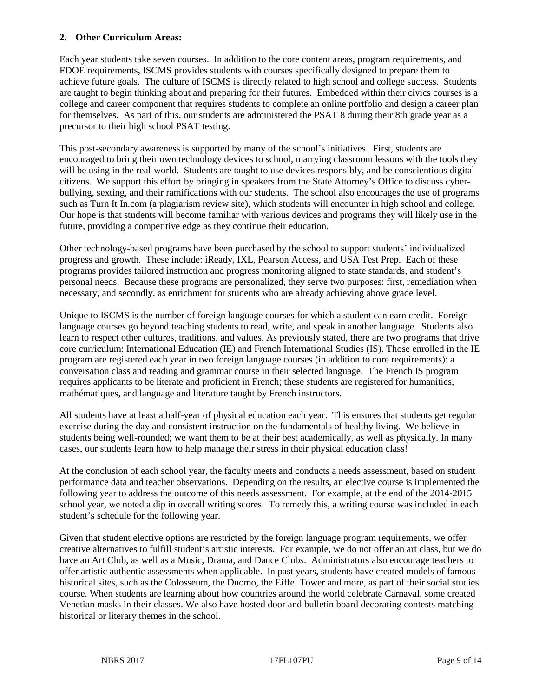#### **2. Other Curriculum Areas:**

Each year students take seven courses. In addition to the core content areas, program requirements, and FDOE requirements, ISCMS provides students with courses specifically designed to prepare them to achieve future goals. The culture of ISCMS is directly related to high school and college success. Students are taught to begin thinking about and preparing for their futures. Embedded within their civics courses is a college and career component that requires students to complete an online portfolio and design a career plan for themselves. As part of this, our students are administered the PSAT 8 during their 8th grade year as a precursor to their high school PSAT testing.

This post-secondary awareness is supported by many of the school's initiatives. First, students are encouraged to bring their own technology devices to school, marrying classroom lessons with the tools they will be using in the real-world. Students are taught to use devices responsibly, and be conscientious digital citizens. We support this effort by bringing in speakers from the State Attorney's Office to discuss cyberbullying, sexting, and their ramifications with our students. The school also encourages the use of programs such as Turn It In.com (a plagiarism review site), which students will encounter in high school and college. Our hope is that students will become familiar with various devices and programs they will likely use in the future, providing a competitive edge as they continue their education.

Other technology-based programs have been purchased by the school to support students' individualized progress and growth. These include: iReady, IXL, Pearson Access, and USA Test Prep. Each of these programs provides tailored instruction and progress monitoring aligned to state standards, and student's personal needs. Because these programs are personalized, they serve two purposes: first, remediation when necessary, and secondly, as enrichment for students who are already achieving above grade level.

Unique to ISCMS is the number of foreign language courses for which a student can earn credit. Foreign language courses go beyond teaching students to read, write, and speak in another language. Students also learn to respect other cultures, traditions, and values. As previously stated, there are two programs that drive core curriculum: International Education (IE) and French International Studies (IS). Those enrolled in the IE program are registered each year in two foreign language courses (in addition to core requirements): a conversation class and reading and grammar course in their selected language. The French IS program requires applicants to be literate and proficient in French; these students are registered for humanities, mathématiques, and language and literature taught by French instructors.

All students have at least a half-year of physical education each year. This ensures that students get regular exercise during the day and consistent instruction on the fundamentals of healthy living. We believe in students being well-rounded; we want them to be at their best academically, as well as physically. In many cases, our students learn how to help manage their stress in their physical education class!

At the conclusion of each school year, the faculty meets and conducts a needs assessment, based on student performance data and teacher observations. Depending on the results, an elective course is implemented the following year to address the outcome of this needs assessment. For example, at the end of the 2014-2015 school year, we noted a dip in overall writing scores. To remedy this, a writing course was included in each student's schedule for the following year.

Given that student elective options are restricted by the foreign language program requirements, we offer creative alternatives to fulfill student's artistic interests. For example, we do not offer an art class, but we do have an Art Club, as well as a Music, Drama, and Dance Clubs. Administrators also encourage teachers to offer artistic authentic assessments when applicable. In past years, students have created models of famous historical sites, such as the Colosseum, the Duomo, the Eiffel Tower and more, as part of their social studies course. When students are learning about how countries around the world celebrate Carnaval, some created Venetian masks in their classes. We also have hosted door and bulletin board decorating contests matching historical or literary themes in the school.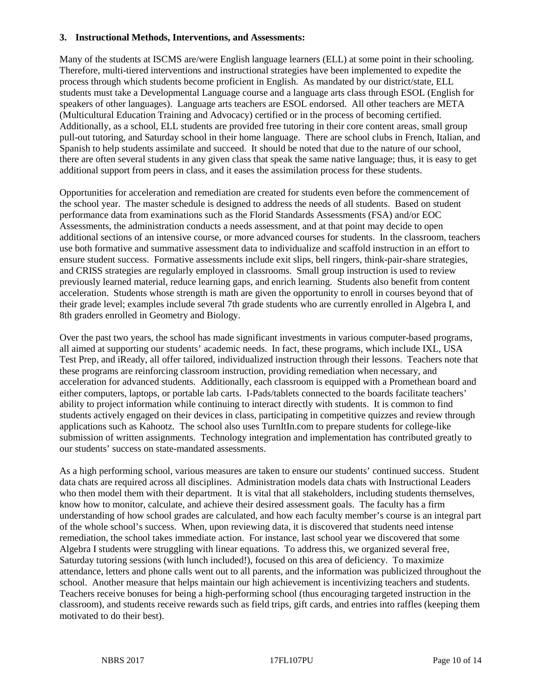#### **3. Instructional Methods, Interventions, and Assessments:**

Many of the students at ISCMS are/were English language learners (ELL) at some point in their schooling. Therefore, multi-tiered interventions and instructional strategies have been implemented to expedite the process through which students become proficient in English. As mandated by our district/state, ELL students must take a Developmental Language course and a language arts class through ESOL (English for speakers of other languages). Language arts teachers are ESOL endorsed. All other teachers are META (Multicultural Education Training and Advocacy) certified or in the process of becoming certified. Additionally, as a school, ELL students are provided free tutoring in their core content areas, small group pull-out tutoring, and Saturday school in their home language. There are school clubs in French, Italian, and Spanish to help students assimilate and succeed. It should be noted that due to the nature of our school, there are often several students in any given class that speak the same native language; thus, it is easy to get additional support from peers in class, and it eases the assimilation process for these students.

Opportunities for acceleration and remediation are created for students even before the commencement of the school year. The master schedule is designed to address the needs of all students. Based on student performance data from examinations such as the Florid Standards Assessments (FSA) and/or EOC Assessments, the administration conducts a needs assessment, and at that point may decide to open additional sections of an intensive course, or more advanced courses for students. In the classroom, teachers use both formative and summative assessment data to individualize and scaffold instruction in an effort to ensure student success. Formative assessments include exit slips, bell ringers, think-pair-share strategies, and CRISS strategies are regularly employed in classrooms. Small group instruction is used to review previously learned material, reduce learning gaps, and enrich learning. Students also benefit from content acceleration. Students whose strength is math are given the opportunity to enroll in courses beyond that of their grade level; examples include several 7th grade students who are currently enrolled in Algebra I, and 8th graders enrolled in Geometry and Biology.

Over the past two years, the school has made significant investments in various computer-based programs, all aimed at supporting our students' academic needs. In fact, these programs, which include IXL, USA Test Prep, and iReady, all offer tailored, individualized instruction through their lessons. Teachers note that these programs are reinforcing classroom instruction, providing remediation when necessary, and acceleration for advanced students. Additionally, each classroom is equipped with a Promethean board and either computers, laptops, or portable lab carts. I-Pads/tablets connected to the boards facilitate teachers' ability to project information while continuing to interact directly with students. It is common to find students actively engaged on their devices in class, participating in competitive quizzes and review through applications such as Kahootz. The school also uses TurnItIn.com to prepare students for college-like submission of written assignments. Technology integration and implementation has contributed greatly to our students' success on state-mandated assessments.

As a high performing school, various measures are taken to ensure our students' continued success. Student data chats are required across all disciplines. Administration models data chats with Instructional Leaders who then model them with their department. It is vital that all stakeholders, including students themselves, know how to monitor, calculate, and achieve their desired assessment goals. The faculty has a firm understanding of how school grades are calculated, and how each faculty member's course is an integral part of the whole school's success. When, upon reviewing data, it is discovered that students need intense remediation, the school takes immediate action. For instance, last school year we discovered that some Algebra I students were struggling with linear equations. To address this, we organized several free, Saturday tutoring sessions (with lunch included!), focused on this area of deficiency. To maximize attendance, letters and phone calls went out to all parents, and the information was publicized throughout the school. Another measure that helps maintain our high achievement is incentivizing teachers and students. Teachers receive bonuses for being a high-performing school (thus encouraging targeted instruction in the classroom), and students receive rewards such as field trips, gift cards, and entries into raffles (keeping them motivated to do their best).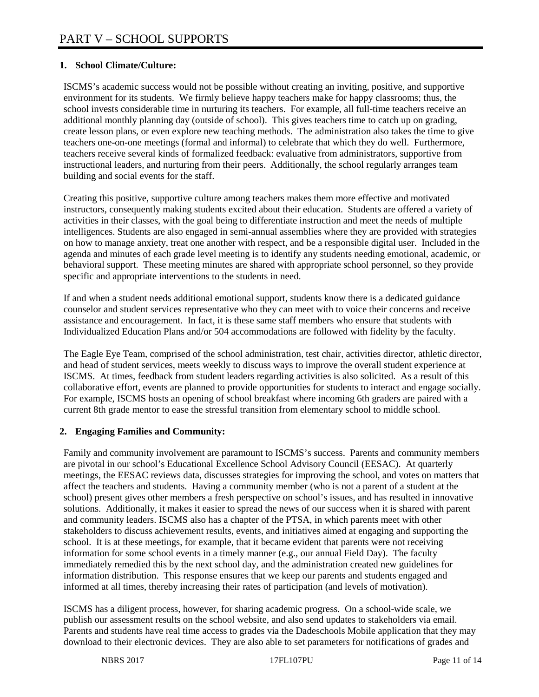### **1. School Climate/Culture:**

ISCMS's academic success would not be possible without creating an inviting, positive, and supportive environment for its students. We firmly believe happy teachers make for happy classrooms; thus, the school invests considerable time in nurturing its teachers. For example, all full-time teachers receive an additional monthly planning day (outside of school). This gives teachers time to catch up on grading, create lesson plans, or even explore new teaching methods. The administration also takes the time to give teachers one-on-one meetings (formal and informal) to celebrate that which they do well. Furthermore, teachers receive several kinds of formalized feedback: evaluative from administrators, supportive from instructional leaders, and nurturing from their peers. Additionally, the school regularly arranges team building and social events for the staff.

Creating this positive, supportive culture among teachers makes them more effective and motivated instructors, consequently making students excited about their education. Students are offered a variety of activities in their classes, with the goal being to differentiate instruction and meet the needs of multiple intelligences. Students are also engaged in semi-annual assemblies where they are provided with strategies on how to manage anxiety, treat one another with respect, and be a responsible digital user. Included in the agenda and minutes of each grade level meeting is to identify any students needing emotional, academic, or behavioral support. These meeting minutes are shared with appropriate school personnel, so they provide specific and appropriate interventions to the students in need.

If and when a student needs additional emotional support, students know there is a dedicated guidance counselor and student services representative who they can meet with to voice their concerns and receive assistance and encouragement. In fact, it is these same staff members who ensure that students with Individualized Education Plans and/or 504 accommodations are followed with fidelity by the faculty.

The Eagle Eye Team, comprised of the school administration, test chair, activities director, athletic director, and head of student services, meets weekly to discuss ways to improve the overall student experience at ISCMS. At times, feedback from student leaders regarding activities is also solicited. As a result of this collaborative effort, events are planned to provide opportunities for students to interact and engage socially. For example, ISCMS hosts an opening of school breakfast where incoming 6th graders are paired with a current 8th grade mentor to ease the stressful transition from elementary school to middle school.

### **2. Engaging Families and Community:**

Family and community involvement are paramount to ISCMS's success. Parents and community members are pivotal in our school's Educational Excellence School Advisory Council (EESAC). At quarterly meetings, the EESAC reviews data, discusses strategies for improving the school, and votes on matters that affect the teachers and students. Having a community member (who is not a parent of a student at the school) present gives other members a fresh perspective on school's issues, and has resulted in innovative solutions. Additionally, it makes it easier to spread the news of our success when it is shared with parent and community leaders. ISCMS also has a chapter of the PTSA, in which parents meet with other stakeholders to discuss achievement results, events, and initiatives aimed at engaging and supporting the school. It is at these meetings, for example, that it became evident that parents were not receiving information for some school events in a timely manner (e.g., our annual Field Day). The faculty immediately remedied this by the next school day, and the administration created new guidelines for information distribution. This response ensures that we keep our parents and students engaged and informed at all times, thereby increasing their rates of participation (and levels of motivation).

ISCMS has a diligent process, however, for sharing academic progress. On a school-wide scale, we publish our assessment results on the school website, and also send updates to stakeholders via email. Parents and students have real time access to grades via the Dadeschools Mobile application that they may download to their electronic devices. They are also able to set parameters for notifications of grades and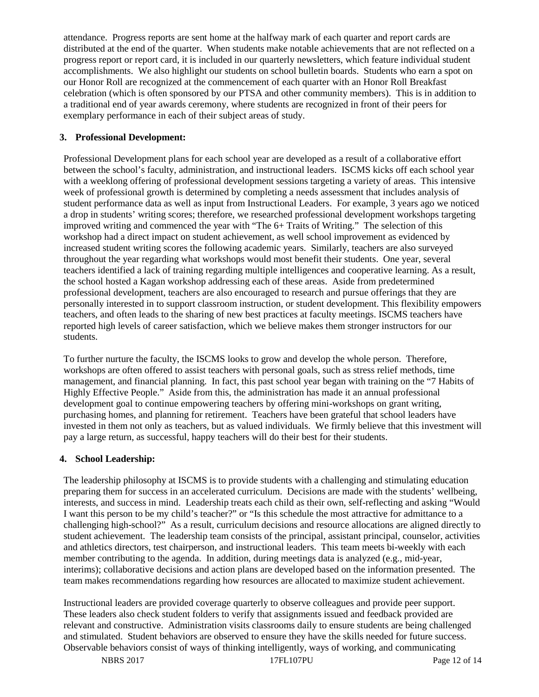attendance. Progress reports are sent home at the halfway mark of each quarter and report cards are distributed at the end of the quarter. When students make notable achievements that are not reflected on a progress report or report card, it is included in our quarterly newsletters, which feature individual student accomplishments. We also highlight our students on school bulletin boards. Students who earn a spot on our Honor Roll are recognized at the commencement of each quarter with an Honor Roll Breakfast celebration (which is often sponsored by our PTSA and other community members). This is in addition to a traditional end of year awards ceremony, where students are recognized in front of their peers for exemplary performance in each of their subject areas of study.

### **3. Professional Development:**

Professional Development plans for each school year are developed as a result of a collaborative effort between the school's faculty, administration, and instructional leaders. ISCMS kicks off each school year with a weeklong offering of professional development sessions targeting a variety of areas. This intensive week of professional growth is determined by completing a needs assessment that includes analysis of student performance data as well as input from Instructional Leaders. For example, 3 years ago we noticed a drop in students' writing scores; therefore, we researched professional development workshops targeting improved writing and commenced the year with "The 6+ Traits of Writing." The selection of this workshop had a direct impact on student achievement, as well school improvement as evidenced by increased student writing scores the following academic years. Similarly, teachers are also surveyed throughout the year regarding what workshops would most benefit their students. One year, several teachers identified a lack of training regarding multiple intelligences and cooperative learning. As a result, the school hosted a Kagan workshop addressing each of these areas. Aside from predetermined professional development, teachers are also encouraged to research and pursue offerings that they are personally interested in to support classroom instruction, or student development. This flexibility empowers teachers, and often leads to the sharing of new best practices at faculty meetings. ISCMS teachers have reported high levels of career satisfaction, which we believe makes them stronger instructors for our students.

To further nurture the faculty, the ISCMS looks to grow and develop the whole person. Therefore, workshops are often offered to assist teachers with personal goals, such as stress relief methods, time management, and financial planning. In fact, this past school year began with training on the "7 Habits of Highly Effective People." Aside from this, the administration has made it an annual professional development goal to continue empowering teachers by offering mini-workshops on grant writing, purchasing homes, and planning for retirement. Teachers have been grateful that school leaders have invested in them not only as teachers, but as valued individuals. We firmly believe that this investment will pay a large return, as successful, happy teachers will do their best for their students.

#### **4. School Leadership:**

The leadership philosophy at ISCMS is to provide students with a challenging and stimulating education preparing them for success in an accelerated curriculum. Decisions are made with the students' wellbeing, interests, and success in mind. Leadership treats each child as their own, self-reflecting and asking "Would I want this person to be my child's teacher?" or "Is this schedule the most attractive for admittance to a challenging high-school?" As a result, curriculum decisions and resource allocations are aligned directly to student achievement. The leadership team consists of the principal, assistant principal, counselor, activities and athletics directors, test chairperson, and instructional leaders. This team meets bi-weekly with each member contributing to the agenda. In addition, during meetings data is analyzed (e.g., mid-year, interims); collaborative decisions and action plans are developed based on the information presented. The team makes recommendations regarding how resources are allocated to maximize student achievement.

Instructional leaders are provided coverage quarterly to observe colleagues and provide peer support. These leaders also check student folders to verify that assignments issued and feedback provided are relevant and constructive. Administration visits classrooms daily to ensure students are being challenged and stimulated. Student behaviors are observed to ensure they have the skills needed for future success. Observable behaviors consist of ways of thinking intelligently, ways of working, and communicating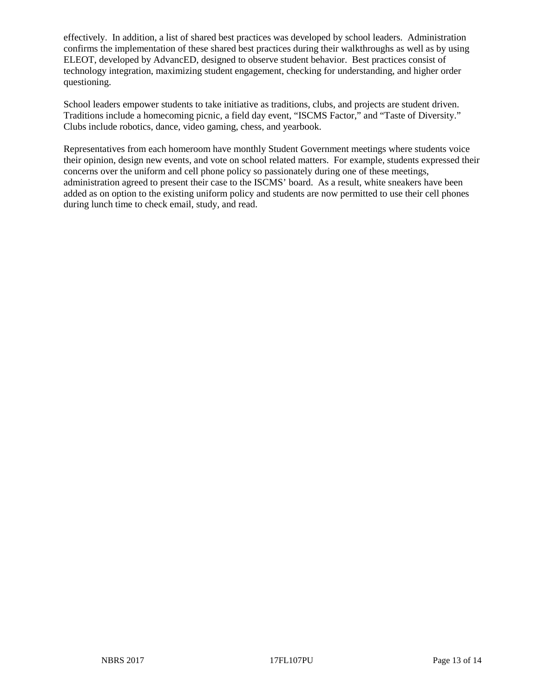effectively. In addition, a list of shared best practices was developed by school leaders. Administration confirms the implementation of these shared best practices during their walkthroughs as well as by using ELEOT, developed by AdvancED, designed to observe student behavior. Best practices consist of technology integration, maximizing student engagement, checking for understanding, and higher order questioning.

School leaders empower students to take initiative as traditions, clubs, and projects are student driven. Traditions include a homecoming picnic, a field day event, "ISCMS Factor," and "Taste of Diversity." Clubs include robotics, dance, video gaming, chess, and yearbook.

Representatives from each homeroom have monthly Student Government meetings where students voice their opinion, design new events, and vote on school related matters. For example, students expressed their concerns over the uniform and cell phone policy so passionately during one of these meetings, administration agreed to present their case to the ISCMS' board. As a result, white sneakers have been added as on option to the existing uniform policy and students are now permitted to use their cell phones during lunch time to check email, study, and read.